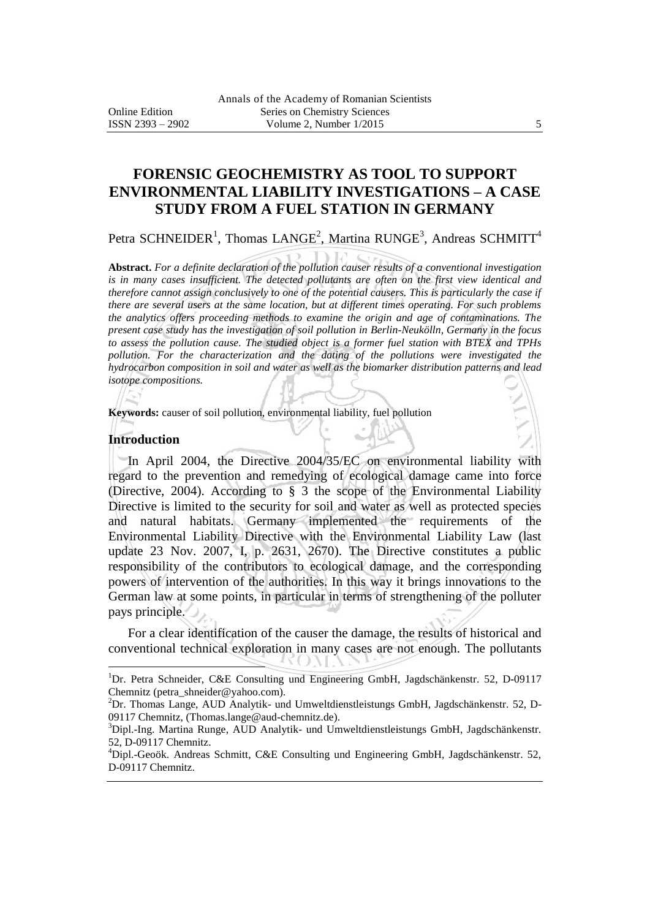# **FORENSIC GEOCHEMISTRY AS TOOL TO SUPPORT ENVIRONMENTAL LIABILITY INVESTIGATIONS – A CASE STUDY FROM A FUEL STATION IN GERMANY**

Petra SCHNEIDER<sup>1</sup>, Thomas LANGE<sup>2</sup>, Martina RUNGE<sup>3</sup>, Andreas SCHMITT<sup>4</sup>

**Abstract.** *For a definite declaration of the pollution causer results of a conventional investigation is in many cases insufficient. The detected pollutants are often on the first view identical and therefore cannot assign conclusively to one of the potential causers. This is particularly the case if there are several users at the same location, but at different times operating. For such problems the analytics offers proceeding methods to examine the origin and age of contaminations. The present case study has the investigation of soil pollution in Berlin-Neukölln, Germany in the focus to assess the pollution cause. The studied object is a former fuel station with BTEX and TPHs* pollution. For the characterization and the dating of the pollutions were investigated the *hydrocarbon composition in soil and water as well as the biomarker distribution patterns and lead isotope compositions.* 

**Keywords:** causer of soil pollution, environmental liability, fuel pollution

#### **Introduction**

 $\overline{a}$ 

In April 2004, the Directive 2004/35/EC on environmental liability with regard to the prevention and remedying of ecological damage came into force (Directive, 2004). According to § 3 the scope of the Environmental Liability Directive is limited to the security for soil and water as well as protected species and natural habitats. Germany implemented the requirements of the Environmental Liability Directive with the Environmental Liability Law (last update 23 Nov. 2007, I, p. 2631, 2670). The Directive constitutes a public responsibility of the contributors to ecological damage, and the corresponding powers of intervention of the authorities. In this way it brings innovations to the German law at some points, in particular in terms of strengthening of the polluter pays principle.

For a clear identification of the causer the damage, the results of historical and conventional technical exploration in many cases are not enough. The pollutants

<sup>1</sup>Dr. Petra Schneider, C&E Consulting und Engineering GmbH, Jagdschänkenstr. 52, D-09117 Chemnitz (petra\_shneider@yahoo.com).

 ${}^{2}$ Dr. Thomas Lange, AUD Analytik- und Umweltdienstleistungs GmbH, Jagdschänkenstr. 52, D-09117 Chemnitz, (Thomas.lange@aud-chemnitz.de).

<sup>&</sup>lt;sup>3</sup>Dipl.-Ing. Martina Runge, AUD Analytik- und Umweltdienstleistungs GmbH, Jagdschänkenstr. 52, D-09117 Chemnitz.

<sup>4</sup>Dipl.-Geoök. Andreas Schmitt, C&E Consulting und Engineering GmbH, Jagdschänkenstr. 52, D-09117 Chemnitz.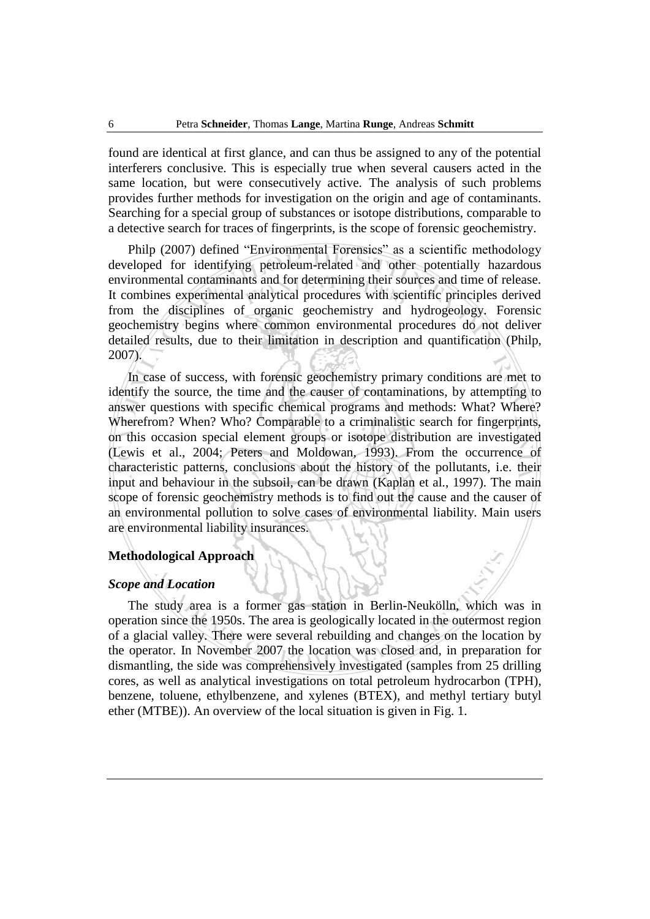found are identical at first glance, and can thus be assigned to any of the potential interferers conclusive. This is especially true when several causers acted in the same location, but were consecutively active. The analysis of such problems provides further methods for investigation on the origin and age of contaminants. Searching for a special group of substances or isotope distributions, comparable to a detective search for traces of fingerprints, is the scope of forensic geochemistry.

Philp (2007) defined "Environmental Forensics" as a scientific methodology developed for identifying petroleum-related and other potentially hazardous environmental contaminants and for determining their sources and time of release. It combines experimental analytical procedures with scientific principles derived from the disciplines of organic geochemistry and hydrogeology. Forensic geochemistry begins where common environmental procedures do not deliver detailed results, due to their limitation in description and quantification (Philp, 2007).

In case of success, with forensic geochemistry primary conditions are met to identify the source, the time and the causer of contaminations, by attempting to answer questions with specific chemical programs and methods: What? Where? Wherefrom? When? Who? Comparable to a criminalistic search for fingerprints, on this occasion special element groups or isotope distribution are investigated (Lewis et al., 2004; Peters and Moldowan, 1993). From the occurrence of characteristic patterns, conclusions about the history of the pollutants, i.e. their input and behaviour in the subsoil, can be drawn (Kaplan et al., 1997). The main scope of forensic geochemistry methods is to find out the cause and the causer of an environmental pollution to solve cases of environmental liability. Main users are environmental liability insurances.

## **Methodological Approach**

### *Scope and Location*

The study area is a former gas station in Berlin-Neukölln, which was in operation since the 1950s. The area is geologically located in the outermost region of a glacial valley. There were several rebuilding and changes on the location by the operator. In November 2007 the location was closed and, in preparation for dismantling, the side was comprehensively investigated (samples from 25 drilling cores, as well as analytical investigations on total petroleum hydrocarbon (TPH), benzene, toluene, ethylbenzene, and xylenes (BTEX), and methyl tertiary butyl ether (MTBE)). An overview of the local situation is given in Fig. 1.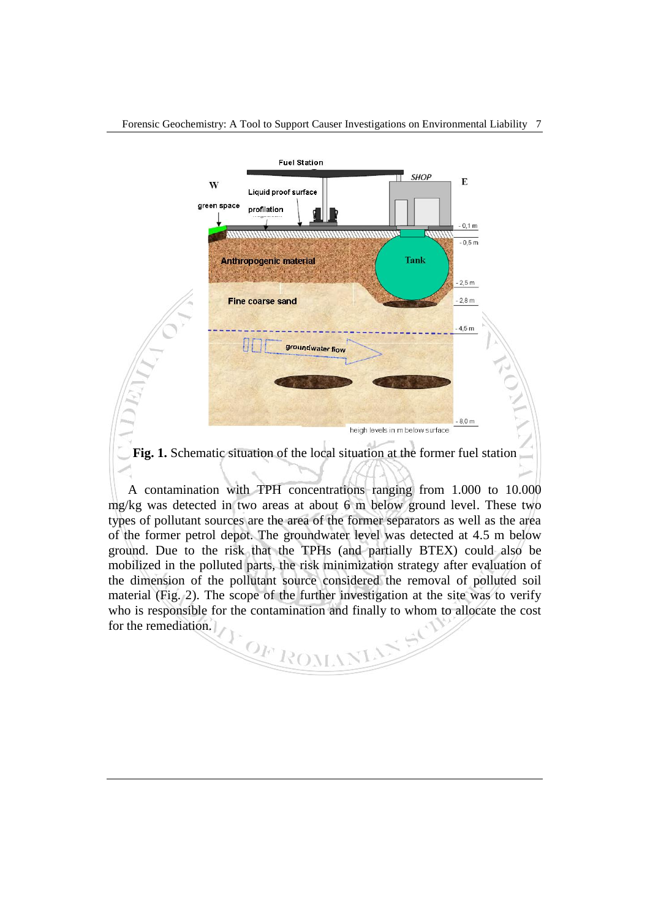

A contamination with TPH concentrations ranging from 1.000 to 10.000 mg/kg was detected in two areas at about 6 m below ground level. These two types of pollutant sources are the area of the former separators as well as the area of the former petrol depot. The groundwater level was detected at 4.5 m below ground. Due to the risk that the TPHs (and partially BTEX) could also be mobilized in the polluted parts, the risk minimization strategy after evaluation of the dimension of the pollutant source considered the removal of polluted soil material (Fig. 2). The scope of the further investigation at the site was to verify who is responsible for the contamination and finally to whom to allocate the cost for the remediation. TOF ROM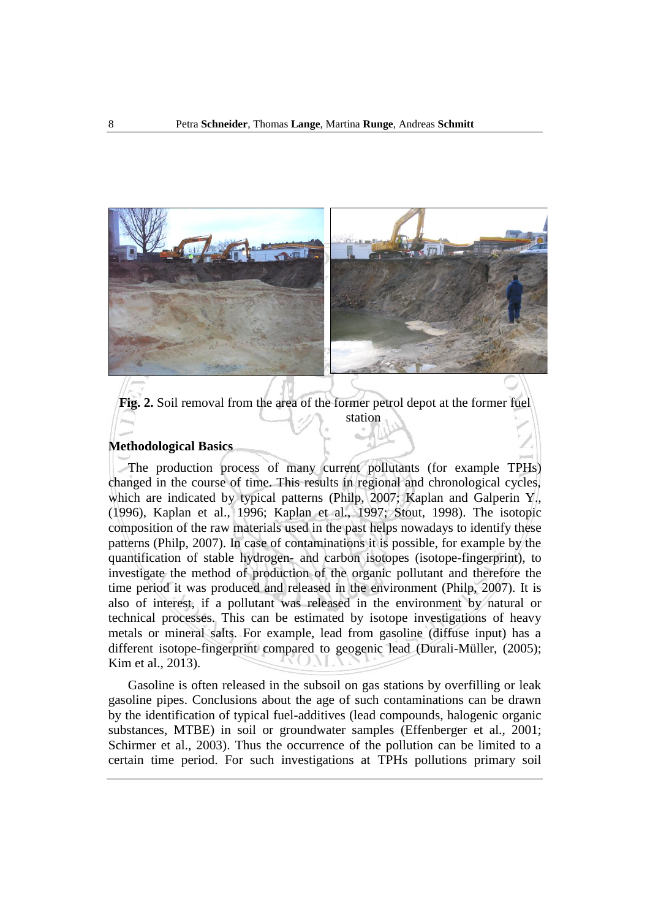

**Fig. 2.** Soil removal from the area of the former petrol depot at the former fuel station

#### **Methodological Basics**

The production process of many current pollutants (for example TPHs) changed in the course of time. This results in regional and chronological cycles, which are indicated by typical patterns (Philp, 2007; Kaplan and Galperin Y., (1996), Kaplan et al., 1996; Kaplan et al., 1997; Stout, 1998). The isotopic composition of the raw materials used in the past helps nowadays to identify these patterns (Philp, 2007). In case of contaminations it is possible, for example by the quantification of stable hydrogen- and carbon isotopes (isotope-fingerprint), to investigate the method of production of the organic pollutant and therefore the time period it was produced and released in the environment (Philp, 2007). It is also of interest, if a pollutant was released in the environment by natural or technical processes. This can be estimated by isotope investigations of heavy metals or mineral salts. For example, lead from gasoline (diffuse input) has a different isotope-fingerprint compared to geogenic lead (Durali-Müller, (2005); Kim et al., 2013).

Gasoline is often released in the subsoil on gas stations by overfilling or leak gasoline pipes. Conclusions about the age of such contaminations can be drawn by the identification of typical fuel-additives (lead compounds, halogenic organic substances, MTBE) in soil or groundwater samples (Effenberger et al., 2001; Schirmer et al., 2003). Thus the occurrence of the pollution can be limited to a certain time period. For such investigations at TPHs pollutions primary soil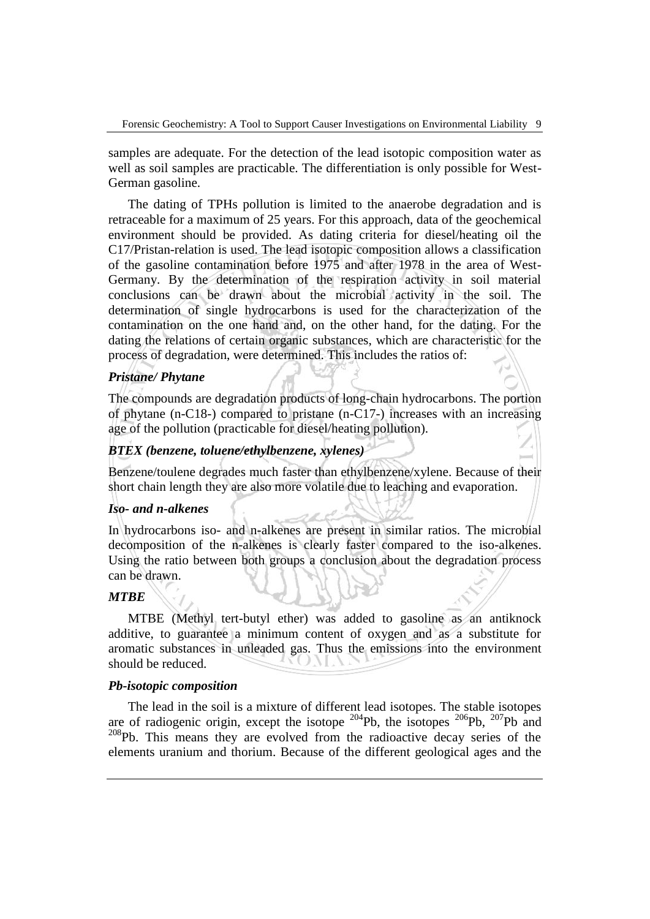samples are adequate. For the detection of the lead isotopic composition water as well as soil samples are practicable. The differentiation is only possible for West-German gasoline.

The dating of TPHs pollution is limited to the anaerobe degradation and is retraceable for a maximum of 25 years. For this approach, data of the geochemical environment should be provided. As dating criteria for diesel/heating oil the C17/Pristan-relation is used. The lead isotopic composition allows a classification of the gasoline contamination before 1975 and after 1978 in the area of West-Germany. By the determination of the respiration activity in soil material conclusions can be drawn about the microbial activity in the soil. The determination of single hydrocarbons is used for the characterization of the contamination on the one hand and, on the other hand, for the dating. For the dating the relations of certain organic substances, which are characteristic for the process of degradation, were determined. This includes the ratios of:

## *Pristane/ Phytane*

The compounds are degradation products of long-chain hydrocarbons. The portion of phytane (n-C18-) compared to pristane (n-C17-) increases with an increasing age of the pollution (practicable for diesel/heating pollution).

### *BTEX (benzene, toluene/ethylbenzene, xylenes)*

Benzene/toulene degrades much faster than ethylbenzene/xylene. Because of their short chain length they are also more volatile due to leaching and evaporation.

### *Iso- and n-alkenes*

In hydrocarbons iso- and n-alkenes are present in similar ratios. The microbial decomposition of the n-alkenes is clearly faster compared to the iso-alkenes. Using the ratio between both groups a conclusion about the degradation process can be drawn.

### *MTBE*

MTBE (Methyl tert-butyl ether) was added to gasoline as an antiknock additive, to guarantee a minimum content of oxygen and as a substitute for aromatic substances in unleaded gas. Thus the emissions into the environment should be reduced.

#### *Pb-isotopic composition*

The lead in the soil is a mixture of different lead isotopes. The stable isotopes are of radiogenic origin, except the isotope  $204Pb$ , the isotopes  $206Pb$ ,  $207Pb$  and  $208$ Pb. This means they are evolved from the radioactive decay series of the elements uranium and thorium. Because of the different geological ages and the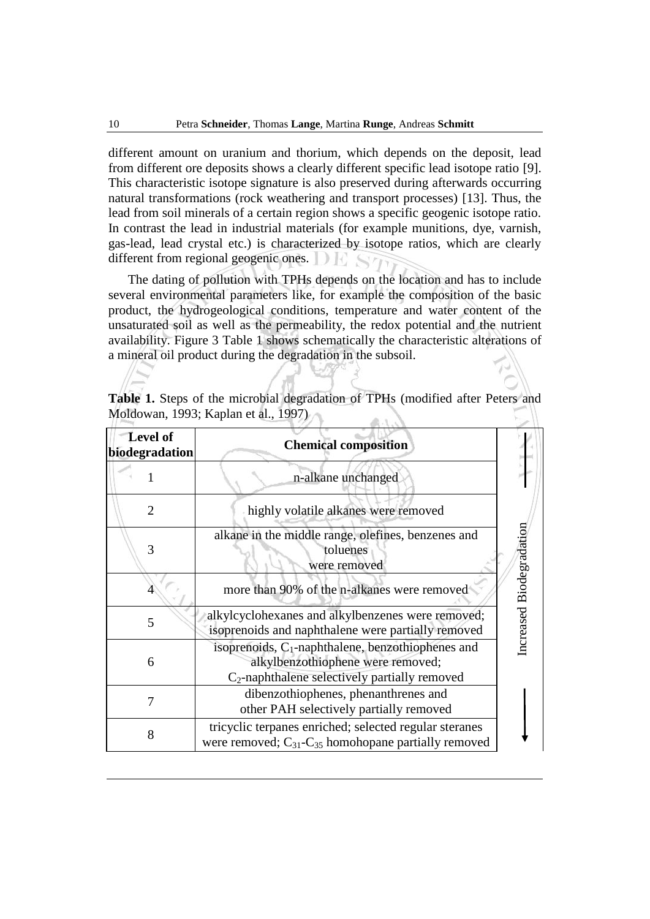different amount on uranium and thorium, which depends on the deposit, lead from different ore deposits shows a clearly different specific lead isotope ratio [9]. This characteristic isotope signature is also preserved during afterwards occurring natural transformations (rock weathering and transport processes) [13]. Thus, the lead from soil minerals of a certain region shows a specific geogenic isotope ratio. In contrast the lead in industrial materials (for example munitions, dye, varnish, gas-lead, lead crystal etc.) is characterized by isotope ratios, which are clearly different from regional geogenic ones.

The dating of pollution with TPHs depends on the location and has to include several environmental parameters like, for example the composition of the basic product, the hydrogeological conditions, temperature and water content of the unsaturated soil as well as the permeability, the redox potential and the nutrient availability. Figure 3 Table 1 shows schematically the characteristic alterations of a mineral oil product during the degradation in the subsoil.

| <b>Level of</b><br>biodegradation | <b>Chemical composition</b>                                                                                                                   |
|-----------------------------------|-----------------------------------------------------------------------------------------------------------------------------------------------|
|                                   | n-alkane unchanged                                                                                                                            |
| 2                                 | highly volatile alkanes were removed                                                                                                          |
| 3                                 | alkane in the middle range, olefines, benzenes and<br>toluenes<br>were removed                                                                |
|                                   | more than 90% of the n-alkanes were removed                                                                                                   |
| 5                                 | alkylcyclohexanes and alkylbenzenes were removed;<br>isoprenoids and naphthalene were partially removed                                       |
| 6                                 | isoprenoids, $C_1$ -naphthalene, benzothiophenes and<br>alkylbenzothiophene were removed;<br>$C_2$ -naphthalene selectively partially removed |
|                                   | dibenzothiophenes, phenanthrenes and<br>other PAH selectively partially removed                                                               |
| 8                                 | tricyclic terpanes enriched; selected regular steranes<br>were removed; $C_{31}$ - $C_{35}$ homohopane partially removed                      |

**Table 1.** Steps of the microbial degradation of TPHs (modified after Peters and Moldowan, 1993; Kaplan et al., 1997)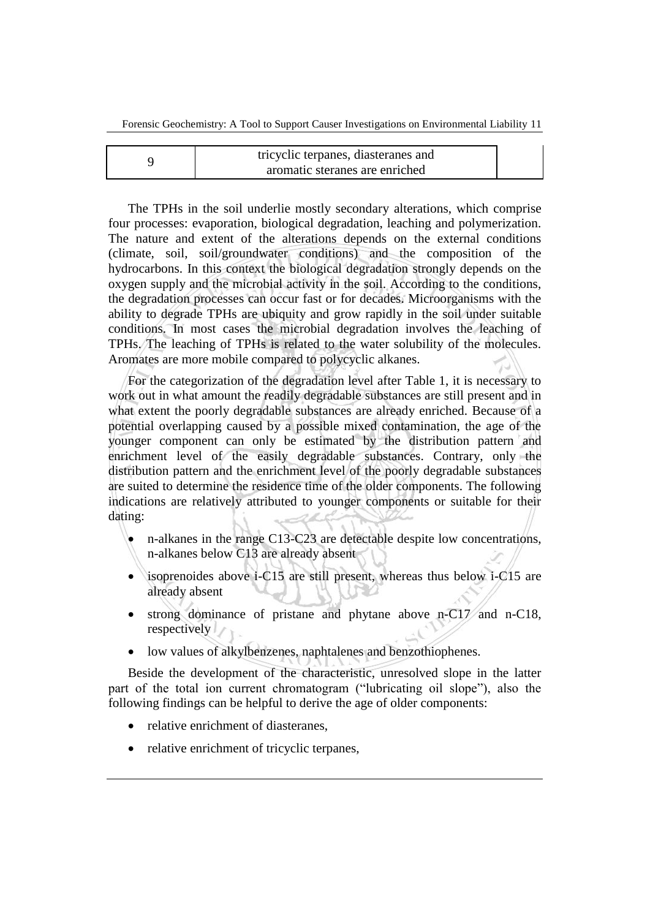| tricyclic terpanes, diasteranes and |  |  |  |  |  |
|-------------------------------------|--|--|--|--|--|
| aromatic steranes are enriched      |  |  |  |  |  |

The TPHs in the soil underlie mostly secondary alterations, which comprise four processes: evaporation, biological degradation, leaching and polymerization. The nature and extent of the alterations depends on the external conditions (climate, soil, soil/groundwater conditions) and the composition of the hydrocarbons. In this context the biological degradation strongly depends on the oxygen supply and the microbial activity in the soil. According to the conditions, the degradation processes can occur fast or for decades. Microorganisms with the ability to degrade TPHs are ubiquity and grow rapidly in the soil under suitable conditions. In most cases the microbial degradation involves the leaching of TPHs. The leaching of TPHs is related to the water solubility of the molecules. Aromates are more mobile compared to polycyclic alkanes.

For the categorization of the degradation level after Table 1, it is necessary to work out in what amount the readily degradable substances are still present and in what extent the poorly degradable substances are already enriched. Because of a potential overlapping caused by a possible mixed contamination, the age of the younger component can only be estimated by the distribution pattern and enrichment level of the easily degradable substances. Contrary, only the distribution pattern and the enrichment level of the poorly degradable substances are suited to determine the residence time of the older components. The following indications are relatively attributed to younger components or suitable for their dating:

- n-alkanes in the range C13-C23 are detectable despite low concentrations, n-alkanes below C13 are already absent
- isoprenoides above i-C15 are still present, whereas thus below i-C15 are already absent
- strong dominance of pristane and phytane above n-C17 and n-C18, respectively
- low values of alkylbenzenes, naphtalenes and benzothiophenes.

Beside the development of the characteristic, unresolved slope in the latter part of the total ion current chromatogram ("lubricating oil slope"), also the following findings can be helpful to derive the age of older components:

- relative enrichment of diasteranes,
- relative enrichment of tricyclic terpanes,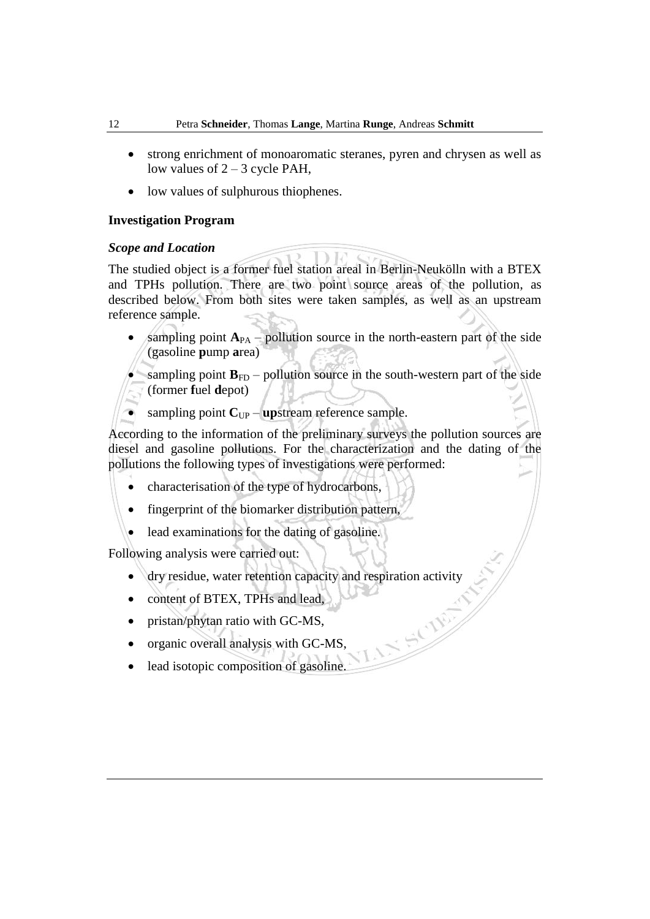- strong enrichment of monoaromatic steranes, pyren and chrysen as well as low values of  $2 - 3$  cycle PAH,
- low values of sulphurous thiophenes.

### **Investigation Program**

### *Scope and Location*

The studied object is a former fuel station areal in Berlin-Neukölln with a BTEX and TPHs pollution. There are two point source areas of the pollution, as described below. From both sites were taken samples, as well as an upstream reference sample.

sampling point  $A_{PA}$  – pollution source in the north-eastern part of the side (gasoline **p**ump **a**rea)

• sampling point  $\mathbf{B}_{FD}$  – pollution source in the south-western part of the side (former **f**uel **d**epot)

sampling point  $C_{UP}$  – **up**stream reference sample.

According to the information of the preliminary surveys the pollution sources are diesel and gasoline pollutions. For the characterization and the dating of the pollutions the following types of investigations were performed:

- characterisation of the type of hydrocarbons,
- fingerprint of the biomarker distribution pattern,
- lead examinations for the dating of gasoline.

Following analysis were carried out:

- dry residue, water retention capacity and respiration activity
- content of BTEX, TPHs and lead,
- pristan/phytan ratio with GC-MS,
- organic overall analysis with GC-MS,
- lead isotopic composition of gasoline.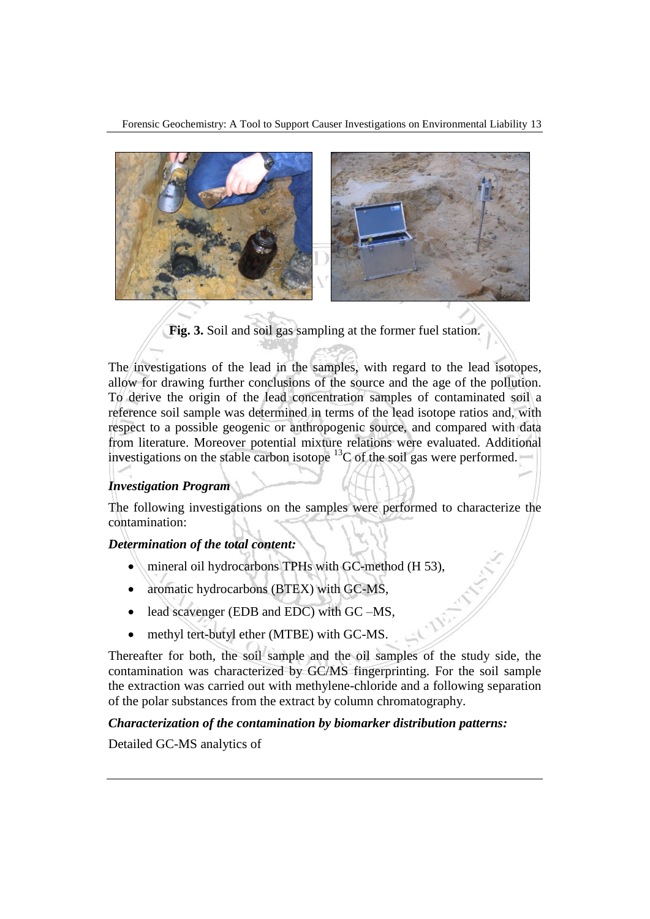Forensic Geochemistry: A Tool to Support Causer Investigations on Environmental Liability 13



**Fig. 3.** Soil and soil gas sampling at the former fuel station.

The investigations of the lead in the samples, with regard to the lead isotopes, allow for drawing further conclusions of the source and the age of the pollution. To derive the origin of the lead concentration samples of contaminated soil a reference soil sample was determined in terms of the lead isotope ratios and, with respect to a possible geogenic or anthropogenic source, and compared with data from literature. Moreover potential mixture relations were evaluated. Additional investigations on the stable carbon isotope  ${}^{13}C$  of the soil gas were performed.

## *Investigation Program*

The following investigations on the samples were performed to characterize the contamination:

## *Determination of the total content:*

- mineral oil hydrocarbons TPHs with GC-method (H 53),
- aromatic hydrocarbons (BTEX) with GC-MS,
- lead scavenger (EDB and EDC) with GC –MS,
- methyl tert-butyl ether (MTBE) with GC-MS.

Thereafter for both, the soil sample and the oil samples of the study side, the contamination was characterized by GC/MS fingerprinting. For the soil sample the extraction was carried out with methylene-chloride and a following separation of the polar substances from the extract by column chromatography.

## *Characterization of the contamination by biomarker distribution patterns:*

Detailed GC-MS analytics of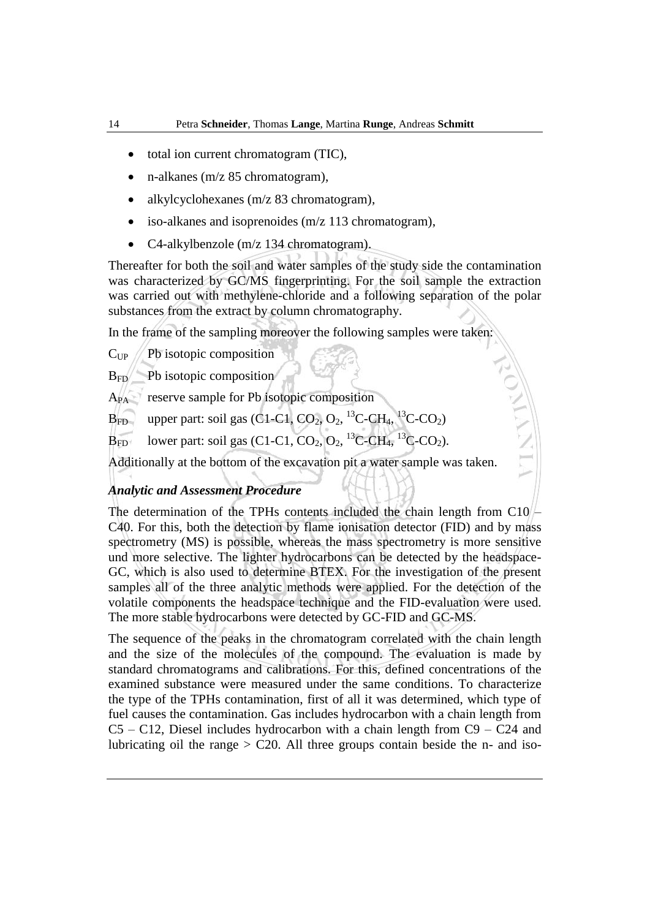- total ion current chromatogram (TIC),
- n-alkanes (m/z 85 chromatogram),
- alkylcyclohexanes (m/z 83 chromatogram),
- iso-alkanes and isoprenoides (m/z 113 chromatogram),
- C4-alkylbenzole (m/z 134 chromatogram).

Thereafter for both the soil and water samples of the study side the contamination was characterized by GC/MS fingerprinting. For the soil sample the extraction was carried out with methylene-chloride and a following separation of the polar substances from the extract by column chromatography.

In the frame of the sampling moreover the following samples were taken:

 $C_{UP}$  / Pb isotopic composition

 $B_{FD}$  Pb isotopic composition

APA reserve sample for Pb isotopic composition

 $B_{FD}$  upper part: soil gas (C1-C1, CO<sub>2</sub>, O<sub>2</sub>, <sup>13</sup>C-CH<sub>4</sub>, <sup>13</sup>C-CO<sub>2</sub>)

 $B_{FD}$  lower part: soil gas (C1-C1, CO<sub>2</sub>, O<sub>2</sub>, <sup>13</sup>C-CH<sub>4</sub>, <sup>13</sup>C-CO<sub>2</sub>).

Additionally at the bottom of the excavation pit a water sample was taken.

## *Analytic and Assessment Procedure*

The determination of the TPHs contents included the chain length from C10 – C40. For this, both the detection by flame ionisation detector (FID) and by mass spectrometry (MS) is possible, whereas the mass spectrometry is more sensitive und more selective. The lighter hydrocarbons can be detected by the headspace-GC, which is also used to determine BTEX. For the investigation of the present samples all of the three analytic methods were applied. For the detection of the volatile components the headspace technique and the FID-evaluation were used. The more stable hydrocarbons were detected by GC-FID and GC-MS.

The sequence of the peaks in the chromatogram correlated with the chain length and the size of the molecules of the compound. The evaluation is made by standard chromatograms and calibrations. For this, defined concentrations of the examined substance were measured under the same conditions. To characterize the type of the TPHs contamination, first of all it was determined, which type of fuel causes the contamination. Gas includes hydrocarbon with a chain length from  $C5 - C12$ , Diesel includes hydrocarbon with a chain length from  $C9 - C24$  and lubricating oil the range  $>$  C20. All three groups contain beside the n- and iso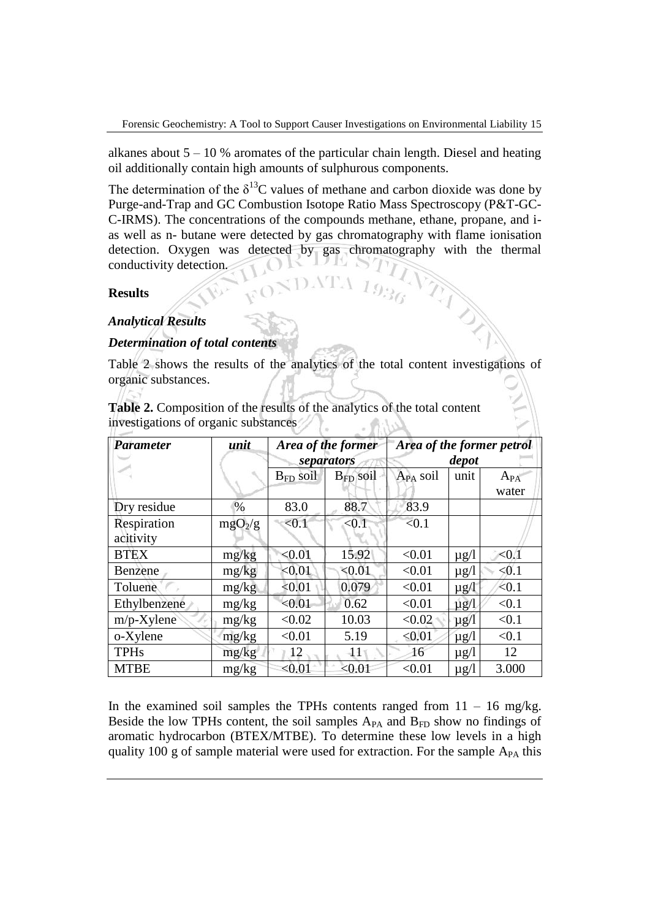alkanes about  $5 - 10$  % aromates of the particular chain length. Diesel and heating oil additionally contain high amounts of sulphurous components.

The determination of the  $\delta^{13}$ C values of methane and carbon dioxide was done by Purge-and-Trap and GC Combustion Isotope Ratio Mass Spectroscopy (P&T-GC-C-IRMS). The concentrations of the compounds methane, ethane, propane, and ias well as n- butane were detected by gas chromatography with flame ionisation detection. Oxygen was detected by gas chromatography with the thermal conductivity detection.

### **Results**

## *Analytical Results*

## *Determination of total contents*

Table 2 shows the results of the analytics of the total content investigations of organic substances.

**Table 2.** Composition of the results of the analytics of the total content investigations of organic substances  $\mathcal{L}_{\mathcal{L}}(n)$ 

| <b>Parameter</b>         | unit                |               | Area of the former<br>separators | Area of the former petrol<br>depot |           |                   |  |
|--------------------------|---------------------|---------------|----------------------------------|------------------------------------|-----------|-------------------|--|
|                          |                     | $B_{FD}$ soil | B <sub>FD</sub> soil             | $A_{PA}$ soil                      | unit      | $A_{PA}$<br>water |  |
| Dry residue              | $\%$                | 83.0          | 88.7                             | 83.9                               |           |                   |  |
| Respiration<br>acitivity | mgO <sub>2</sub> /g | < 0.1         | < 0.1                            | < 0.1                              |           |                   |  |
| <b>BTEX</b>              | mg/kg               | < 0.01        | 15.92                            | < 0.01                             | $\mu$ g/l | < 0.1             |  |
| Benzene                  | mg/kg               | < 0.01        | < 0.01                           | < 0.01                             | $\mu$ g/l | < 0.1             |  |
| Toluene                  | mg/kg               | < 0.01        | 0.079                            | < 0.01                             | $\mu$ g/l | < 0.1             |  |
| Ethylbenzene             | mg/kg               | < 0.01        | 0.62                             | < 0.01                             | $\mu$ g/l | < 0.1             |  |
| $m/p$ -Xylene            | mg/kg               | < 0.02        | 10.03                            | < 0.02                             | $\mu$ g/l | < 0.1             |  |
| o-Xylene                 | mg/kg               | < 0.01        | 5.19                             | < 0.01                             | $\mu$ g/l | < 0.1             |  |
| <b>TPHs</b>              | mg/kg               | 12            | $\mathbf{11}$                    | 16                                 | $\mu$ g/l | 12                |  |
| <b>MTBE</b>              | mg/kg               | < 0.01        | < 0.01                           | < 0.01                             | $\mu$ g/l | 3.000             |  |

In the examined soil samples the TPHs contents ranged from  $11 - 16$  mg/kg. Beside the low TPHs content, the soil samples  $A_{PA}$  and  $B_{FD}$  show no findings of aromatic hydrocarbon (BTEX/MTBE). To determine these low levels in a high quality 100 g of sample material were used for extraction. For the sample  $A_{PA}$  this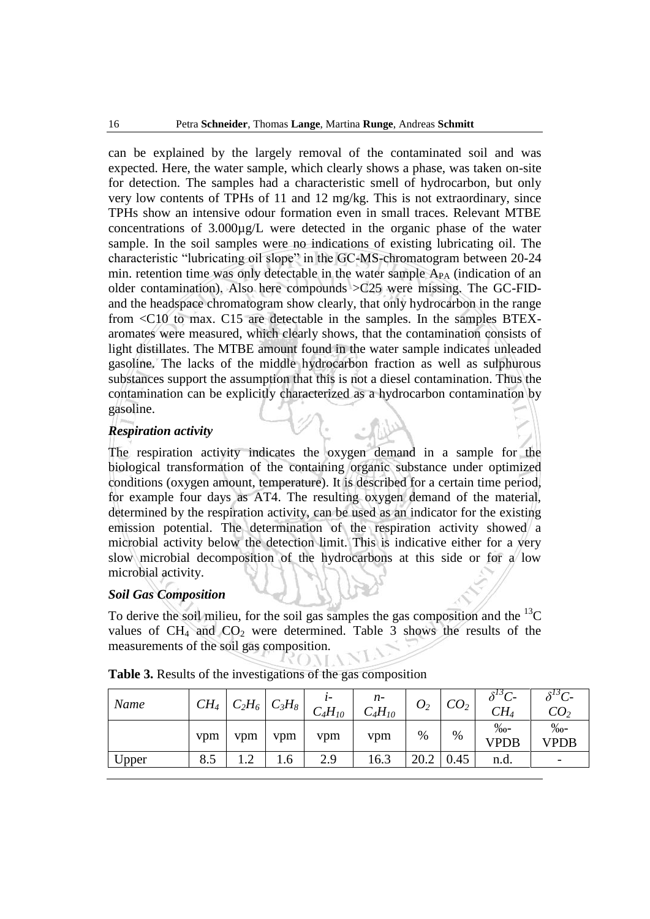can be explained by the largely removal of the contaminated soil and was expected. Here, the water sample, which clearly shows a phase, was taken on-site for detection. The samples had a characteristic smell of hydrocarbon, but only very low contents of TPHs of 11 and 12 mg/kg. This is not extraordinary, since TPHs show an intensive odour formation even in small traces. Relevant MTBE concentrations of 3.000µg/L were detected in the organic phase of the water sample. In the soil samples were no indications of existing lubricating oil. The characteristic "lubricating oil slope" in the GC-MS-chromatogram between 20-24 min. retention time was only detectable in the water sample  $A_{PA}$  (indication of an older contamination). Also here compounds  $>$ C25 were missing. The GC-FIDand the headspace chromatogram show clearly, that only hydrocarbon in the range from <C10 to max. C15 are detectable in the samples. In the samples BTEXaromates were measured, which clearly shows, that the contamination consists of light distillates. The MTBE amount found in the water sample indicates unleaded gasoline. The lacks of the middle hydrocarbon fraction as well as sulphurous substances support the assumption that this is not a diesel contamination. Thus the contamination can be explicitly characterized as a hydrocarbon contamination by gasoline.

### *Respiration activity*

The respiration activity indicates the oxygen demand in a sample for the biological transformation of the containing organic substance under optimized conditions (oxygen amount, temperature). It is described for a certain time period, for example four days as AT4. The resulting oxygen demand of the material, determined by the respiration activity, can be used as an indicator for the existing emission potential. The determination of the respiration activity showed a microbial activity below the detection limit. This is indicative either for a very slow microbial decomposition of the hydrocarbons at this side or for a low microbial activity.

### *Soil Gas Composition*

To derive the soil milieu, for the soil gas samples the gas composition and the  ${}^{13}C$ values of  $CH_4$  and  $CO_2$  were determined. Table 3 shows the results of the measurements of the soil gas composition.

| Name  | $CH_4$ | $C_2H_6$           | $C_3H_8$ | ı-<br>$C_4H_{10}$ | $n-$<br>$C_4H_{10}$ | $O_{2}$ | CO <sub>2</sub> | $\delta^{13}C$<br>$CH_4$    | $\delta^{13}C$ -<br>CO <sub>2</sub> |
|-------|--------|--------------------|----------|-------------------|---------------------|---------|-----------------|-----------------------------|-------------------------------------|
|       | vpm    | vpm                | vpm      | vpm               | vpm                 | %       | %               | $\%$ <sub>0</sub> -<br>VPDB | $%o-$<br>VPDB                       |
| Upper | 8.5    | $\bigcap$<br>. . 4 | 1.6      | 2.9               | 16.3                | 20.2    | 0.45            | n.d.                        |                                     |

**Table 3.** Results of the investigations of the gas composition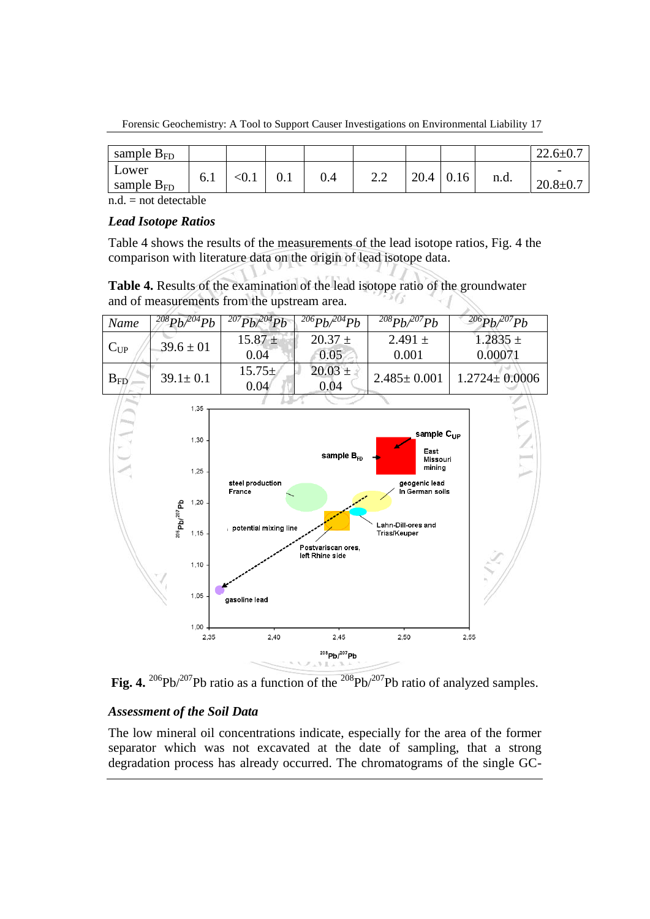Forensic Geochemistry: A Tool to Support Causer Investigations on Environmental Liability 17

| sample $B_{FD}$          |     |      |     |                                                               |            |      |      | 22.O±I |
|--------------------------|-----|------|-----|---------------------------------------------------------------|------------|------|------|--------|
| Lower<br>sample $B_{FD}$ | 0.1 | v. 1 | 0.4 | $\cap$<br>$\overline{\phantom{m}}\cdot\overline{\phantom{m}}$ | nΩ<br>20.4 | 0.16 | n.d. |        |

 $n.d.$  = not detectable

## *Lead Isotope Ratios*

Table 4 shows the results of the measurements of the lead isotope ratios, Fig. 4 the comparison with literature data on the origin of lead isotope data.

**Table 4.** Results of the examination of the lead isotope ratio of the groundwater and of measurements from the upstream area.



**Fig. 4.**  ${}^{206}Pb/{}^{207}Pb$  ratio as a function of the  ${}^{208}Pb/{}^{207}Pb$  ratio of analyzed samples.

# *Assessment of the Soil Data*

The low mineral oil concentrations indicate, especially for the area of the former separator which was not excavated at the date of sampling, that a strong degradation process has already occurred. The chromatograms of the single GC-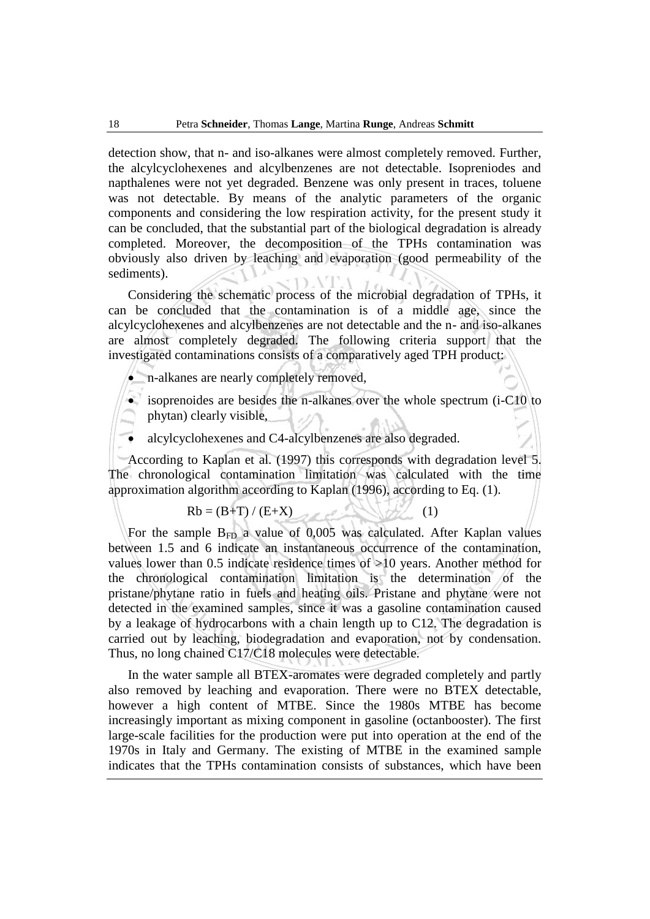detection show, that n- and iso-alkanes were almost completely removed. Further, the alcylcyclohexenes and alcylbenzenes are not detectable. Isopreniodes and napthalenes were not yet degraded. Benzene was only present in traces, toluene was not detectable. By means of the analytic parameters of the organic components and considering the low respiration activity, for the present study it can be concluded, that the substantial part of the biological degradation is already completed. Moreover, the decomposition of the TPHs contamination was obviously also driven by leaching and evaporation (good permeability of the sediments).

Considering the schematic process of the microbial degradation of TPHs, it can be concluded that the contamination is of a middle age, since the alcylcyclohexenes and alcylbenzenes are not detectable and the n- and iso-alkanes are almost completely degraded. The following criteria support that the investigated contaminations consists of a comparatively aged TPH product:

- n-alkanes are nearly completely removed,
- isoprenoides are besides the n-alkanes over the whole spectrum (i-C10 to phytan) clearly visible,
- alcylcyclohexenes and C4-alcylbenzenes are also degraded.

According to Kaplan et al. (1997) this corresponds with degradation level 5. The chronological contamination limitation was calculated with the time approximation algorithm according to Kaplan (1996), according to Eq. (1).

$$
Rb = (B+T)/(E+X) \tag{1}
$$

For the sample  $B_{FD}$  a value of 0,005 was calculated. After Kaplan values between 1.5 and 6 indicate an instantaneous occurrence of the contamination, values lower than 0.5 indicate residence times of >10 years. Another method for the chronological contamination limitation is the determination of the pristane/phytane ratio in fuels and heating oils. Pristane and phytane were not detected in the examined samples, since it was a gasoline contamination caused by a leakage of hydrocarbons with a chain length up to C12. The degradation is carried out by leaching, biodegradation and evaporation, not by condensation. Thus, no long chained C17/C18 molecules were detectable.

In the water sample all BTEX-aromates were degraded completely and partly also removed by leaching and evaporation. There were no BTEX detectable, however a high content of MTBE. Since the 1980s MTBE has become increasingly important as mixing component in gasoline (octanbooster). The first large-scale facilities for the production were put into operation at the end of the 1970s in Italy and Germany. The existing of MTBE in the examined sample indicates that the TPHs contamination consists of substances, which have been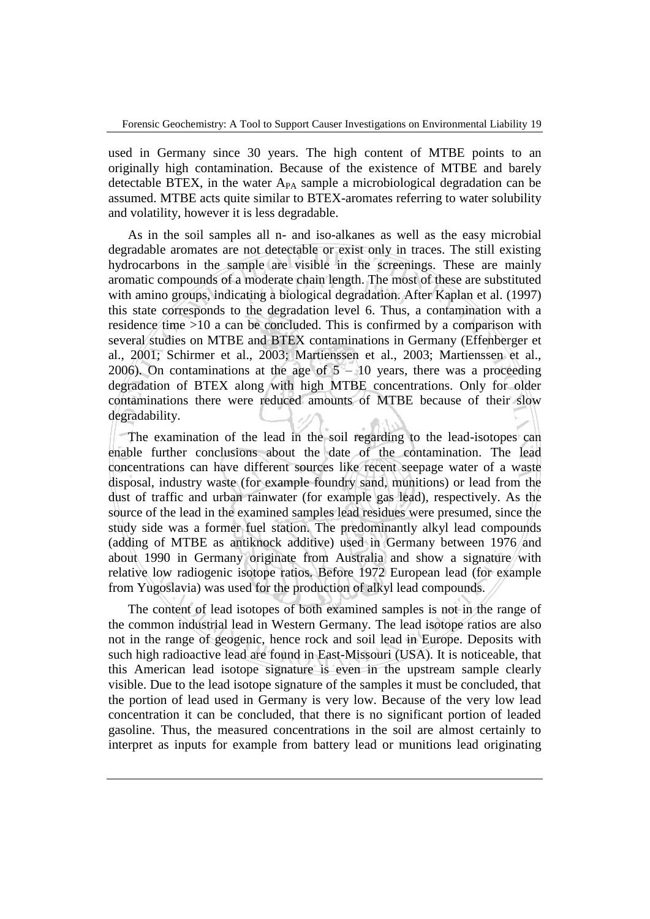used in Germany since 30 years. The high content of MTBE points to an originally high contamination. Because of the existence of MTBE and barely detectable BTEX, in the water  $A_{PA}$  sample a microbiological degradation can be assumed. MTBE acts quite similar to BTEX-aromates referring to water solubility and volatility, however it is less degradable.

As in the soil samples all n- and iso-alkanes as well as the easy microbial degradable aromates are not detectable or exist only in traces. The still existing hydrocarbons in the sample are visible in the screenings. These are mainly aromatic compounds of a moderate chain length. The most of these are substituted with amino groups, indicating a biological degradation. After Kaplan et al. (1997) this state corresponds to the degradation level 6. Thus, a contamination with a residence time >10 a can be concluded. This is confirmed by a comparison with several studies on MTBE and BTEX contaminations in Germany (Effenberger et al., 2001; Schirmer et al., 2003; Martienssen et al., 2003; Martienssen et al., 2006). On contaminations at the age of  $5 - 10$  years, there was a proceeding degradation of BTEX along with high MTBE concentrations. Only for older contaminations there were reduced amounts of MTBE because of their slow degradability.

The examination of the lead in the soil regarding to the lead-isotopes can enable further conclusions about the date of the contamination. The lead concentrations can have different sources like recent seepage water of a waste disposal, industry waste (for example foundry sand, munitions) or lead from the dust of traffic and urban rainwater (for example gas lead), respectively. As the source of the lead in the examined samples lead residues were presumed, since the study side was a former fuel station. The predominantly alkyl lead compounds (adding of MTBE as antiknock additive) used in Germany between 1976 and about 1990 in Germany originate from Australia and show a signature with relative low radiogenic isotope ratios. Before 1972 European lead (for example from Yugoslavia) was used for the production of alkyl lead compounds.

The content of lead isotopes of both examined samples is not in the range of the common industrial lead in Western Germany. The lead isotope ratios are also not in the range of geogenic, hence rock and soil lead in Europe. Deposits with such high radioactive lead are found in East-Missouri (USA). It is noticeable, that this American lead isotope signature is even in the upstream sample clearly visible. Due to the lead isotope signature of the samples it must be concluded, that the portion of lead used in Germany is very low. Because of the very low lead concentration it can be concluded, that there is no significant portion of leaded gasoline. Thus, the measured concentrations in the soil are almost certainly to interpret as inputs for example from battery lead or munitions lead originating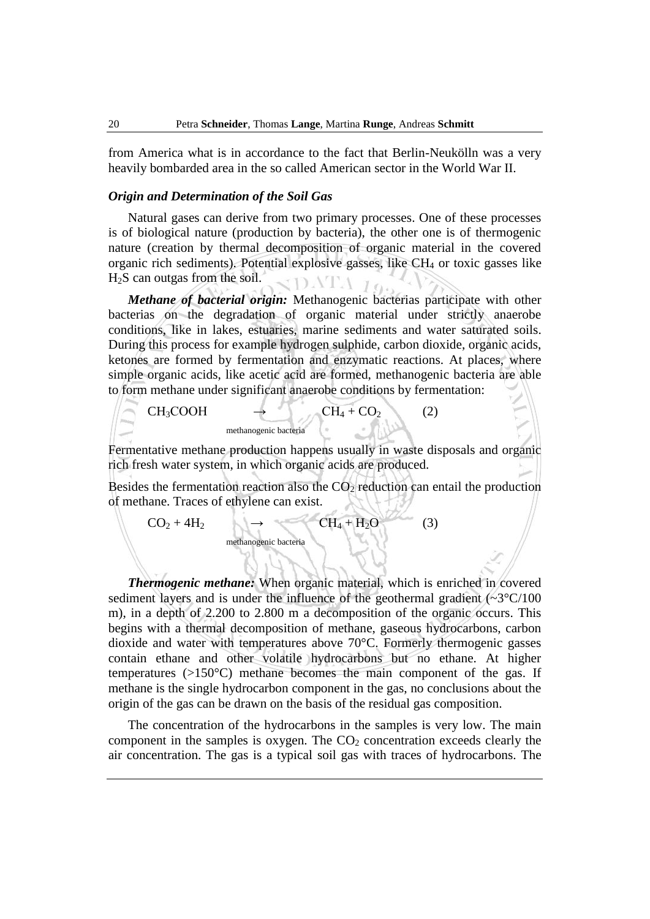from America what is in accordance to the fact that Berlin-Neukölln was a very heavily bombarded area in the so called American sector in the World War II.

### *Origin and Determination of the Soil Gas*

Natural gases can derive from two primary processes. One of these processes is of biological nature (production by bacteria), the other one is of thermogenic nature (creation by thermal decomposition of organic material in the covered organic rich sediments). Potential explosive gasses, like CH<sub>4</sub> or toxic gasses like H2S can outgas from the soil. SDATA 16

*Methane of bacterial origin:* Methanogenic bacterias participate with other bacterias on the degradation of organic material under strictly anaerobe conditions, like in lakes, estuaries, marine sediments and water saturated soils. During this process for example hydrogen sulphide, carbon dioxide, organic acids, ketones are formed by fermentation and enzymatic reactions. At places, where simple organic acids, like acetic acid are formed, methanogenic bacteria are able to form methane under significant anaerobe conditions by fermentation:

 $CH_3COOH \rightarrow CH_4 + CO_2$  (2) methanogenic bacteria

Fermentative methane production happens usually in waste disposals and organic rich fresh water system, in which organic acids are produced.

Besides the fermentation reaction also the  $CO<sub>2</sub>$  reduction can entail the production of methane. Traces of ethylene can exist.

$$
CO_2 + 4H_2
$$
  $\rightarrow$   $CH_4 + H_2O$  (3)  
methanogenic bacteria

*Thermogenic methane:* When organic material, which is enriched in covered sediment layers and is under the influence of the geothermal gradient  $(\sim3^{\circ}C/100)$ m), in a depth of 2.200 to 2.800 m a decomposition of the organic occurs. This begins with a thermal decomposition of methane, gaseous hydrocarbons, carbon dioxide and water with temperatures above 70°C. Formerly thermogenic gasses contain ethane and other volatile hydrocarbons but no ethane. At higher temperatures (>150°C) methane becomes the main component of the gas. If methane is the single hydrocarbon component in the gas, no conclusions about the origin of the gas can be drawn on the basis of the residual gas composition.

The concentration of the hydrocarbons in the samples is very low. The main component in the samples is oxygen. The  $CO<sub>2</sub>$  concentration exceeds clearly the air concentration. The gas is a typical soil gas with traces of hydrocarbons. The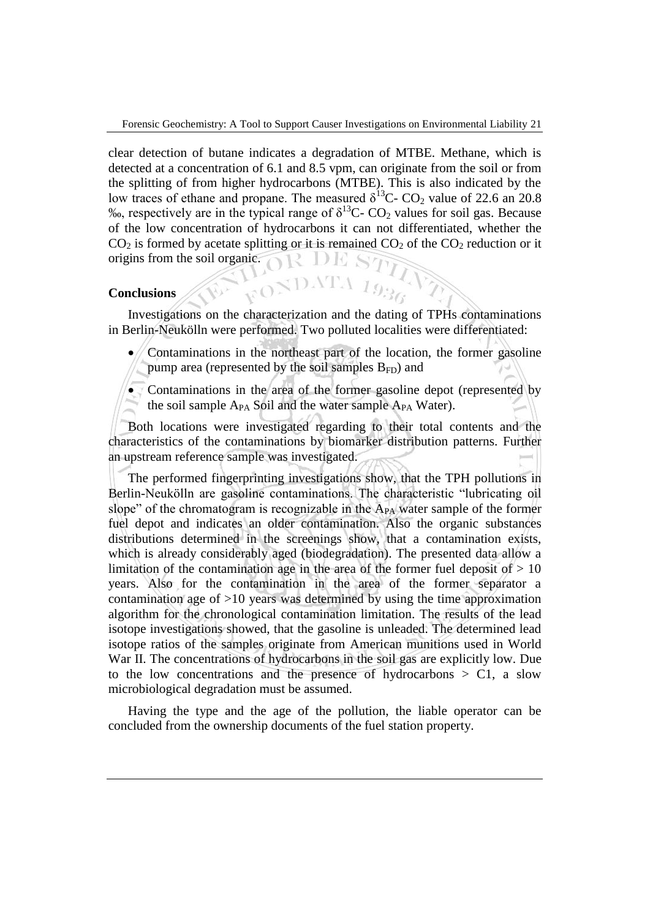clear detection of butane indicates a degradation of MTBE. Methane, which is detected at a concentration of 6.1 and 8.5 vpm, can originate from the soil or from the splitting of from higher hydrocarbons (MTBE). This is also indicated by the low traces of ethane and propane. The measured  $\delta^{13}$ C- CO<sub>2</sub> value of 22.6 an 20.8 ‰, respectively are in the typical range of  $\delta^{13}C$ - CO<sub>2</sub> values for soil gas. Because of the low concentration of hydrocarbons it can not differentiated, whether the  $CO<sub>2</sub>$  is formed by acetate splitting or it is remained  $CO<sub>2</sub>$  of the  $CO<sub>2</sub>$  reduction or it origins from the soil organic. YR DE S

#### **Conclusions**

Investigations on the characterization and the dating of TPHs contaminations in Berlin-Neukölln were performed. Two polluted localities were differentiated:

- Contaminations in the northeast part of the location, the former gasoline pump area (represented by the soil samples  $B_{FD}$ ) and
- Contaminations in the area of the former gasoline depot (represented by the soil sample  $A_{PA}$  Soil and the water sample  $A_{PA}$  Water).

Both locations were investigated regarding to their total contents and the characteristics of the contaminations by biomarker distribution patterns. Further an upstream reference sample was investigated.

The performed fingerprinting investigations show, that the TPH pollutions in Berlin-Neukölln are gasoline contaminations. The characteristic "lubricating oil slope" of the chromatogram is recognizable in the  $A_{PA}$  water sample of the former fuel depot and indicates an older contamination. Also the organic substances distributions determined in the screenings show, that a contamination exists, which is already considerably aged (biodegradation). The presented data allow a limitation of the contamination age in the area of the former fuel deposit of  $> 10$ years. Also for the contamination in the area of the former separator a contamination age of >10 years was determined by using the time approximation algorithm for the chronological contamination limitation. The results of the lead isotope investigations showed, that the gasoline is unleaded. The determined lead isotope ratios of the samples originate from American munitions used in World War II. The concentrations of hydrocarbons in the soil gas are explicitly low. Due to the low concentrations and the presence of hydrocarbons  $> C1$ , a slow microbiological degradation must be assumed.

Having the type and the age of the pollution, the liable operator can be concluded from the ownership documents of the fuel station property.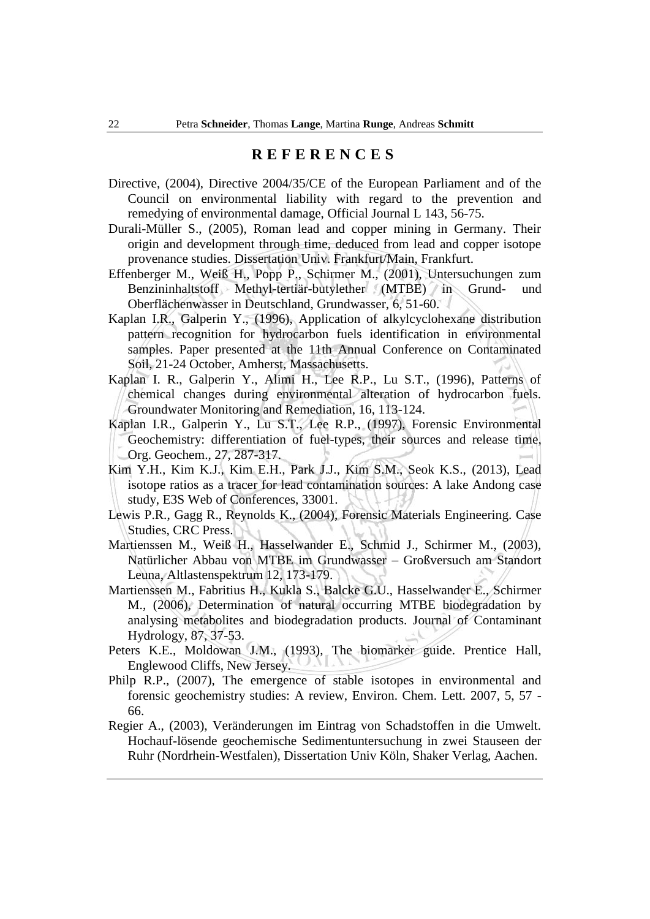## **R E F E R E N C E S**

- Directive, (2004), Directive 2004/35/CE of the European Parliament and of the Council on environmental liability with regard to the prevention and remedying of environmental damage, Official Journal L 143, 56-75.
- Durali-Müller S., (2005), Roman lead and copper mining in Germany. Their origin and development through time, deduced from lead and copper isotope provenance studies. Dissertation Univ. Frankfurt/Main, Frankfurt.
- Effenberger M., Weiß H., Popp P., Schirmer M., (2001), Untersuchungen zum Benzininhaltstoff Methyl-tertiär-butylether (MTBE) in Grund- und Oberflächenwasser in Deutschland, Grundwasser, 6, 51-60.
- Kaplan I.R., Galperin Y., (1996), Application of alkylcyclohexane distribution pattern recognition for hydrocarbon fuels identification in environmental samples. Paper presented at the 11th Annual Conference on Contaminated Soil, 21-24 October, Amherst, Massachusetts.
- Kaplan I. R., Galperin Y., Alimi H., Lee R.P., Lu S.T., (1996), Patterns of chemical changes during environmental alteration of hydrocarbon fuels. Groundwater Monitoring and Remediation, 16, 113-124.
- Kaplan I.R., Galperin Y., Lu S.T., Lee R.P., (1997), Forensic Environmental Geochemistry: differentiation of fuel-types, their sources and release time, Org. Geochem., 27, 287-317.
- Kim Y.H., Kim K.J., Kim E.H., Park J.J., Kim S.M., Seok K.S., (2013), Lead isotope ratios as a tracer for lead contamination sources: A lake Andong case study, E3S Web of Conferences, 33001.
- Lewis P.R., Gagg R., Reynolds K., (2004), Forensic Materials Engineering. Case Studies, CRC Press.
- Martienssen M., Weiß H., Hasselwander E., Schmid J., Schirmer M., (2003), Natürlicher Abbau von MTBE im Grundwasser – Großversuch am Standort Leuna, Altlastenspektrum 12, 173-179.
- Martienssen M., Fabritius H., Kukla S., Balcke G.U., Hasselwander E., Schirmer M., (2006), Determination of natural occurring MTBE biodegradation by analysing metabolites and biodegradation products. Journal of Contaminant Hydrology, 87, 37-53.
- Peters K.E., Moldowan J.M., (1993), The biomarker guide. Prentice Hall, Englewood Cliffs, New Jersey.
- Philp R.P., (2007), The emergence of stable isotopes in environmental and forensic geochemistry studies: A review, Environ. Chem. Lett. 2007, 5, 57 - 66.
- Regier A., (2003), Veränderungen im Eintrag von Schadstoffen in die Umwelt. Hochauf-lösende geochemische Sedimentuntersuchung in zwei Stauseen der Ruhr (Nordrhein-Westfalen), Dissertation Univ Köln, Shaker Verlag, Aachen.